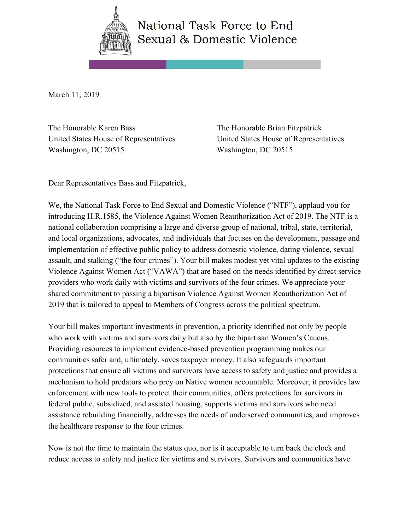

## National Task Force to End Sexual & Domestic Violence

March 11, 2019

The Honorable Karen Bass The Honorable Brian Fitzpatrick United States House of Representatives United States House of Representatives Washington, DC 20515 Washington, DC 20515

Dear Representatives Bass and Fitzpatrick,

We, the National Task Force to End Sexual and Domestic Violence ("NTF"), applaud you for introducing H.R.1585, the Violence Against Women Reauthorization Act of 2019. The NTF is a national collaboration comprising a large and diverse group of national, tribal, state, territorial, and local organizations, advocates, and individuals that focuses on the development, passage and implementation of effective public policy to address domestic violence, dating violence, sexual assault, and stalking ("the four crimes"). Your bill makes modest yet vital updates to the existing Violence Against Women Act ("VAWA") that are based on the needs identified by direct service providers who work daily with victims and survivors of the four crimes. We appreciate your shared commitment to passing a bipartisan Violence Against Women Reauthorization Act of 2019 that is tailored to appeal to Members of Congress across the political spectrum.

Your bill makes important investments in prevention, a priority identified not only by people who work with victims and survivors daily but also by the bipartisan Women's Caucus. Providing resources to implement evidence-based prevention programming makes our communities safer and, ultimately, saves taxpayer money. It also safeguards important protections that ensure all victims and survivors have access to safety and justice and provides a mechanism to hold predators who prey on Native women accountable. Moreover, it provides law enforcement with new tools to protect their communities, offers protections for survivors in federal public, subsidized, and assisted housing, supports victims and survivors who need assistance rebuilding financially, addresses the needs of underserved communities, and improves the healthcare response to the four crimes.

Now is not the time to maintain the status quo, nor is it acceptable to turn back the clock and reduce access to safety and justice for victims and survivors. Survivors and communities have